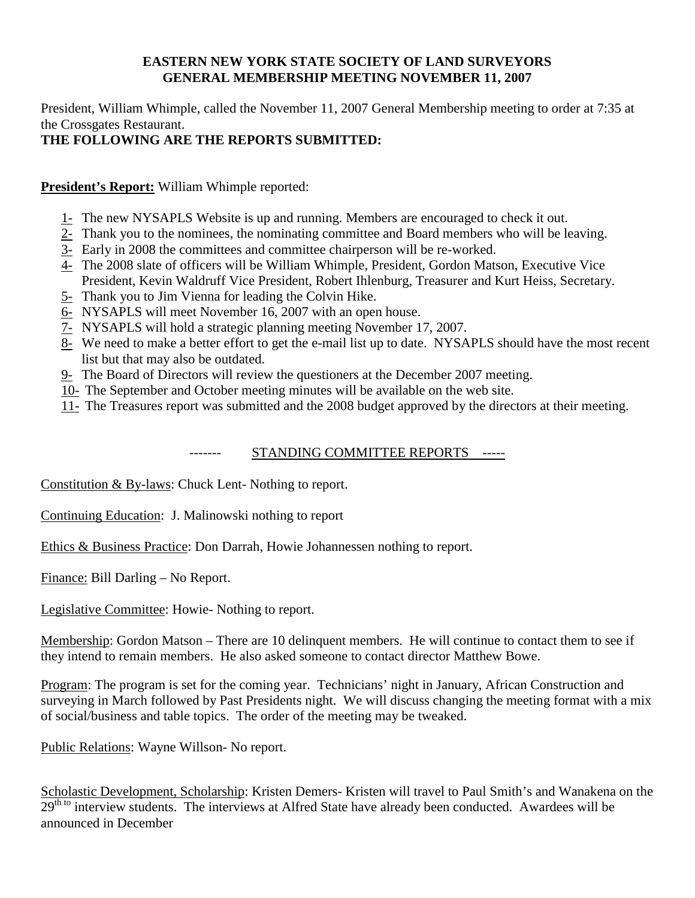## **EASTERN NEW YORK STATE SOCIETY OF LAND SURVEYORS GENERAL MEMBERSHIP MEETING NOVEMBER 11, 2007**

President, William Whimple, called the November 11, 2007 General Membership meeting to order at 7:35 at the Crossgates Restaurant.

## **THE FOLLOWING ARE THE REPORTS SUBMITTED:**

**President's Report:** William Whimple reported:

- 1- The new NYSAPLS Website is up and running. Members are encouraged to check it out.
- 2- Thank you to the nominees, the nominating committee and Board members who will be leaving.
- 3- Early in 2008 the committees and committee chairperson will be re-worked.
- 4- The 2008 slate of officers will be William Whimple, President, Gordon Matson, Executive Vice President, Kevin Waldruff Vice President, Robert Ihlenburg, Treasurer and Kurt Heiss, Secretary.
- 5- Thank you to Jim Vienna for leading the Colvin Hike.
- 6- NYSAPLS will meet November 16, 2007 with an open house.
- 7- NYSAPLS will hold a strategic planning meeting November 17, 2007.
- 8- We need to make a better effort to get the e-mail list up to date. NYSAPLS should have the most recent list but that may also be outdated.
- 9- The Board of Directors will review the questioners at the December 2007 meeting.
- 10- The September and October meeting minutes will be available on the web site.
- 11- The Treasures report was submitted and the 2008 budget approved by the directors at their meeting.

## ------- STANDING COMMITTEE REPORTS -----

Constitution & By-laws: Chuck Lent- Nothing to report.

Continuing Education: J. Malinowski nothing to report

Ethics & Business Practice: Don Darrah, Howie Johannessen nothing to report.

Finance: Bill Darling – No Report.

Legislative Committee: Howie- Nothing to report.

Membership: Gordon Matson – There are 10 delinquent members. He will continue to contact them to see if they intend to remain members. He also asked someone to contact director Matthew Bowe.

Program: The program is set for the coming year. Technicians' night in January, African Construction and surveying in March followed by Past Presidents night. We will discuss changing the meeting format with a mix of social/business and table topics. The order of the meeting may be tweaked.

Public Relations: Wayne Willson- No report.

Scholastic Development, Scholarship: Kristen Demers- Kristen will travel to Paul Smith's and Wanakena on the 29<sup>th to</sup> interview students. The interviews at Alfred State have already been conducted. Awardees will be announced in December